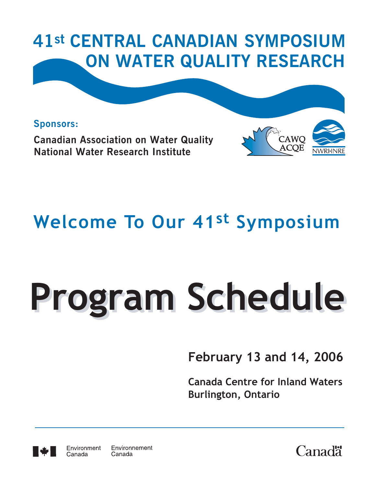

**Sponsors: Canadian Association on Water Quality National Water Research Institute** 



# **Welcome To Our 41st Symposium**

# **Program Schedule Program Schedule**

# **February 13 and 14, 2006**

**Canada Centre for Inland Waters Burlington, Ontario**



Canada

Environnement Environment Canada

**Canadä**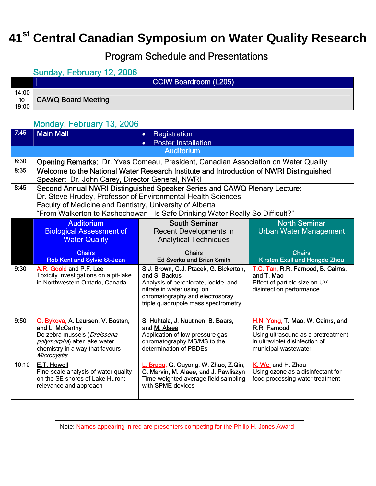## **41st Central Canadian Symposium on Water Quality Research**

#### Program Schedule and Presentations

#### Sunday, February 12, 2006

|                      | <b>CCIW Boardroom (L205)</b> |  |
|----------------------|------------------------------|--|
| 14:00<br>to<br>19:00 | <b>CAWQ Board Meeting</b>    |  |

#### Monday, February 13, 2006

| 7:45  | <b>Main Mall</b>                                                                                                                                                      | Registration<br>$\bullet$                                                                                                                                                                               |                                                                                                                                                   |
|-------|-----------------------------------------------------------------------------------------------------------------------------------------------------------------------|---------------------------------------------------------------------------------------------------------------------------------------------------------------------------------------------------------|---------------------------------------------------------------------------------------------------------------------------------------------------|
|       |                                                                                                                                                                       | <b>Poster Installation</b>                                                                                                                                                                              |                                                                                                                                                   |
|       |                                                                                                                                                                       | <b>Auditorium</b>                                                                                                                                                                                       |                                                                                                                                                   |
| 8:30  |                                                                                                                                                                       | <b>Opening Remarks:</b> Dr. Yves Comeau, President, Canadian Association on Water Quality                                                                                                               |                                                                                                                                                   |
| 8:35  |                                                                                                                                                                       | Welcome to the National Water Research Institute and Introduction of NWRI Distinguished                                                                                                                 |                                                                                                                                                   |
|       | Speaker: Dr. John Carey, Director General, NWRI                                                                                                                       |                                                                                                                                                                                                         |                                                                                                                                                   |
| 8:45  |                                                                                                                                                                       | Second Annual NWRI Distinguished Speaker Series and CAWQ Plenary Lecture:                                                                                                                               |                                                                                                                                                   |
|       |                                                                                                                                                                       | Dr. Steve Hrudey, Professor of Environmental Health Sciences                                                                                                                                            |                                                                                                                                                   |
|       | Faculty of Medicine and Dentistry, University of Alberta                                                                                                              | "From Walkerton to Kashechewan - Is Safe Drinking Water Really So Difficult?"                                                                                                                           |                                                                                                                                                   |
|       | <b>Auditorium</b>                                                                                                                                                     | <b>South Seminar</b>                                                                                                                                                                                    | <b>North Seminar</b>                                                                                                                              |
|       | <b>Biological Assessment of</b>                                                                                                                                       | <b>Recent Developments in</b>                                                                                                                                                                           | <b>Urban Water Management</b>                                                                                                                     |
|       | <b>Water Quality</b>                                                                                                                                                  | <b>Analytical Techniques</b>                                                                                                                                                                            |                                                                                                                                                   |
|       | <b>Chairs</b>                                                                                                                                                         | <b>Chairs</b>                                                                                                                                                                                           | <b>Chairs</b>                                                                                                                                     |
|       | <b>Rob Kent and Sylvie St-Jean</b>                                                                                                                                    | <b>Ed Sverko and Brian Smith</b>                                                                                                                                                                        | Kirsten Exall and Hongde Zhou                                                                                                                     |
| 9:30  | A.R. Goold and P.F. Lee<br>Toxicity investigations on a pit-lake<br>in Northwestern Ontario, Canada                                                                   | S.J. Brown, C.J. Ptacek, G. Bickerton,<br>and S. Backus<br>Analysis of perchlorate, iodide, and<br>nitrate in water using ion<br>chromatography and electrospray<br>triple quadrupole mass spectrometry | T.C. Tan, R.R. Farnood, B. Cairns,<br>and T. Mao<br>Effect of particle size on UV<br>disinfection performance                                     |
| 9:50  | O. Bykova, A. Laursen, V. Bostan,<br>and L. McCarthy<br>Do zebra mussels (Dreissena<br>polymorpha) alter lake water<br>chemistry in a way that favours<br>Microcystis | S. Huhtala, J. Nuutinen, B. Baars,<br>and M. Alaee<br>Application of low-pressure gas<br>chromatography MS/MS to the<br>determination of PBDEs                                                          | H.N. Yong, T. Mao, W. Cairns, and<br>R.R. Farnood<br>Using ultrasound as a pretreatment<br>in ultraviolet disinfection of<br>municipal wastewater |
| 10:10 | E.T. Howell<br>Fine-scale analysis of water quality<br>on the SE shores of Lake Huron:<br>relevance and approach                                                      | L. Bragg, G. Ouyang, W. Zhao, Z.Qin,<br>C. Marvin, M. Alaee, and J. Pawliszyn<br>Time-weighted average field sampling<br>with SPME devices                                                              | K. Wei and H. Zhou<br>Using ozone as a disinfectant for<br>food processing water treatment                                                        |

Note: Names appearing in red are presenters competing for the Philip H. Jones Award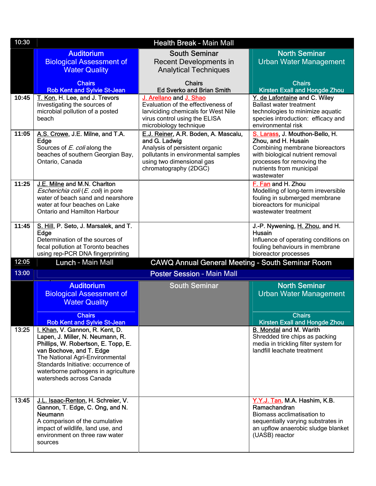| 10:30 |                                                                                                                                                                                                                                                                                     | <b>Health Break - Main Mall</b>                                                                                                                                                      |                                                                                                                                                                                                      |
|-------|-------------------------------------------------------------------------------------------------------------------------------------------------------------------------------------------------------------------------------------------------------------------------------------|--------------------------------------------------------------------------------------------------------------------------------------------------------------------------------------|------------------------------------------------------------------------------------------------------------------------------------------------------------------------------------------------------|
|       | <b>Auditorium</b><br><b>Biological Assessment of</b><br><b>Water Quality</b>                                                                                                                                                                                                        | <b>South Seminar</b><br><b>Recent Developments in</b><br><b>Analytical Techniques</b>                                                                                                | <b>North Seminar</b><br><b>Urban Water Management</b>                                                                                                                                                |
|       | <b>Chairs</b><br><b>Rob Kent and Sylvie St-Jean</b>                                                                                                                                                                                                                                 | <b>Chairs</b><br><b>Ed Sverko and Brian Smith</b>                                                                                                                                    | <b>Chairs</b><br>Kirsten Exall and Hongde Zhou                                                                                                                                                       |
| 10:45 | T. Kon, H. Lee, and J. Trevors<br>Investigating the sources of<br>microbial pollution of a posted<br>beach                                                                                                                                                                          | J. Arellano and J. Shao<br>Evaluation of the effectiveness of<br>larviciding chemicals for West Nile<br>virus control using the ELISA<br>microbiology technique                      | Y. de Lafontaine and C. Wiley<br><b>Ballast water treatment</b><br>technologies to minimize aquatic<br>species introduction: efficacy and<br>environmental risk                                      |
| 11:05 | A.S. Crowe, J.E. Milne, and T.A.<br>Edge<br>Sources of E. coli along the<br>beaches of southern Georgian Bay,<br>Ontario, Canada                                                                                                                                                    | E.J. Reiner, A.R. Boden, A. Mascalu,<br>and G. Ladwig<br>Analysis of persistent organic<br>pollutants in environmental samples<br>using two dimensional gas<br>chromatography (2DGC) | S. Larass, J. Mouthon-Bello, H.<br>Zhou, and H. Husain<br>Combining membrane bioreactors<br>with biological nutrient removal<br>processes for removing the<br>nutrients from municipal<br>wastewater |
| 11:25 | J.E. Milne and M.N. Charlton<br>Escherichia coli (E. coli) in pore<br>water of beach sand and nearshore<br>water at four beaches on Lake<br>Ontario and Hamilton Harbour                                                                                                            |                                                                                                                                                                                      | F. Fan and H. Zhou<br>Modelling of long-term irreversible<br>fouling in submerged membrane<br>bioreactors for municipal<br>wastewater treatment                                                      |
| 11:45 | S. Hill, P. Seto, J. Marsalek, and T.<br>Edge<br>Determination of the sources of<br>fecal pollution at Toronto beaches<br>using rep-PCR DNA fingerprinting                                                                                                                          |                                                                                                                                                                                      | J.-P. Nywening, H. Zhou, and H.<br>Husain<br>Influence of operating conditions on<br>fouling behaviours in membrane<br>bioreactor processes                                                          |
| 12:05 | Lunch - Main Mall                                                                                                                                                                                                                                                                   | <b>CAWQ Annual General Meeting - South Seminar Room</b>                                                                                                                              |                                                                                                                                                                                                      |
| 13:00 |                                                                                                                                                                                                                                                                                     | <b>Poster Session - Main Mall</b>                                                                                                                                                    |                                                                                                                                                                                                      |
|       | <b>Auditorium</b><br><b>Biological Assessment of</b><br><b>Water Quality</b>                                                                                                                                                                                                        | <b>South Seminar</b>                                                                                                                                                                 | <b>North Seminar</b><br><b>Urban Water Management</b>                                                                                                                                                |
|       | <b>Chairs</b><br><b>Rob Kent and Sylvie St-Jean</b>                                                                                                                                                                                                                                 |                                                                                                                                                                                      | <b>Chairs</b><br><b>Kirsten Exall and Hongde Zhou</b>                                                                                                                                                |
| 13:25 | I. Khan, V. Gannon, R. Kent, D.<br>Lapen, J. Miller, N. Neumann, R.<br>Phillips, W. Robertson, E. Topp, E.<br>van Bochove, and T. Edge<br>The National Agri-Environmental<br>Standards Initiative: occurrence of<br>waterborne pathogens in agriculture<br>watersheds across Canada |                                                                                                                                                                                      | B. Mondal and M. Warith<br>Shredded tire chips as packing<br>media in trickling filter system for<br>landfill leachate treatment                                                                     |
| 13:45 | J.L. Isaac-Renton, H. Schreier, V.<br>Gannon, T. Edge, C. Ong, and N.<br>Neumann<br>A comparison of the cumulative<br>impact of wildlife, land use, and<br>environment on three raw water<br>sources                                                                                |                                                                                                                                                                                      | Y.Y.J. Tan, M.A. Hashim, K.B.<br>Ramachandran<br>Biomass acclimatisation to<br>sequentially varying substrates in<br>an upflow anaerobic sludge blanket<br>(UASB) reactor                            |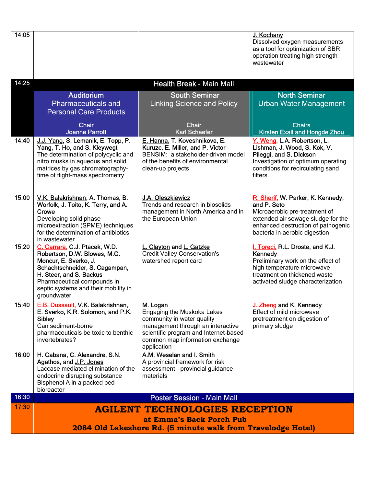| 14:05 |                                                                                                                                                                                                                                           |                                                                                                                                                                                                      | J. Kochany<br>Dissolved oxygen measurements<br>as a tool for optimization of SBR<br>operation treating high strength<br>wastewater                                                             |  |  |
|-------|-------------------------------------------------------------------------------------------------------------------------------------------------------------------------------------------------------------------------------------------|------------------------------------------------------------------------------------------------------------------------------------------------------------------------------------------------------|------------------------------------------------------------------------------------------------------------------------------------------------------------------------------------------------|--|--|
| 14:25 |                                                                                                                                                                                                                                           | <b>Health Break - Main Mall</b>                                                                                                                                                                      |                                                                                                                                                                                                |  |  |
|       | <b>Auditorium</b><br><b>Pharmaceuticals and</b><br><b>Personal Care Products</b>                                                                                                                                                          | <b>South Seminar</b><br><b>Linking Science and Policy</b>                                                                                                                                            | <b>North Seminar</b><br><b>Urban Water Management</b>                                                                                                                                          |  |  |
|       | <b>Chair</b><br><b>Joanne Parrott</b>                                                                                                                                                                                                     | <b>Chair</b><br><b>Karl Schaefer</b>                                                                                                                                                                 | <b>Chairs</b><br><b>Kirsten Exall and Hongde Zhou</b>                                                                                                                                          |  |  |
| 14:40 | J.J. Yang, S. Lemanik, E. Topp, P.<br>Yang, T. Ho, and S. Kleywegt<br>The determination of polycyclic and<br>nitro musks in aqueous and solid<br>matrices by gas chromatography-<br>time of flight-mass spectrometry                      | E. Hanna, T. Koveshnikova, E.<br>Kuruzc, E. Miller, and P. Victor<br>BENSIM: a stakeholder-driven model<br>of the benefits of environmental<br>clean-up projects                                     | Y. Weng, L.A. Robertson, L.<br>Lishman, J. Wood, S. Kok, V.<br>Pileggi, and S. Dickson<br>Investigation of optimum operating<br>conditions for recirculating sand<br>filters                   |  |  |
| 15:00 | V.K. Balakrishnan, A. Thomas, B.<br>Worfolk, J. Toito, K. Terry, and A.<br>Crowe<br>Developing solid phase<br>microextraction (SPME) techniques<br>for the determination of antibiotics<br>in wastewater                                  | J.A. Oleszkiewicz<br>Trends and research in biosolids<br>management in North America and in<br>the European Union                                                                                    | R. Sherif, W. Parker, K. Kennedy,<br>and P. Seto<br>Microaerobic pre-treatment of<br>extended air sewage sludge for the<br>enhanced destruction of pathogenic<br>bacteria in aerobic digestion |  |  |
| 15:20 | C. Carrara, C.J. Ptacek, W.D.<br>Robertson, D.W. Blowes, M.C.<br>Moncur, E. Sverko, J.<br>Schachtschneider, S. Cagampan,<br>H. Steer, and S. Backus<br>Pharmaceutical compounds in<br>septic systems and their mobility in<br>groundwater | L. Clayton and L. Gatzke<br><b>Credit Valley Conservation's</b><br>watershed report card                                                                                                             | I. Toreci, R.L. Droste, and K.J.<br>Kennedy<br>Preliminary work on the effect of<br>high temperature microwave<br>treatment on thickened waste<br>activated sludge characterization            |  |  |
| 15:40 | E.B. Dussault, V.K. Balakrishnan,<br>E. Sverko, K.R. Solomon, and P.K.<br><b>Sibley</b><br>Can sediment-borne<br>pharmaceuticals be toxic to benthic<br>invertebrates?                                                                    | M. Logan<br>Engaging the Muskoka Lakes<br>community in water quality<br>management through an interactive<br>scientific program and Internet-based<br>common map information exchange<br>application | J. Zheng and K. Kennedy<br>Effect of mild microwave<br>pretreatment on digestion of<br>primary sludge                                                                                          |  |  |
| 16:00 | H. Cabana, C. Alexandre, S.N.<br>Agathos, and J.P. Jones<br>Laccase mediated elimination of the<br>endocrine disrupting substance<br>Bisphenol A in a packed bed<br>bioreactor                                                            | A.M. Weselan and I. Smith<br>A provincial framework for risk<br>assessment - provincial guidance<br>materials                                                                                        |                                                                                                                                                                                                |  |  |
| 16:30 |                                                                                                                                                                                                                                           | <b>Poster Session - Main Mall</b>                                                                                                                                                                    |                                                                                                                                                                                                |  |  |
| 17:30 |                                                                                                                                                                                                                                           | <b>AGILENT TECHNOLOGIES RECEPTION</b>                                                                                                                                                                |                                                                                                                                                                                                |  |  |
|       | at Emma's Back Porch Pub<br>2084 Old Lakeshore Rd. (5 minute walk from Travelodge Hotel)                                                                                                                                                  |                                                                                                                                                                                                      |                                                                                                                                                                                                |  |  |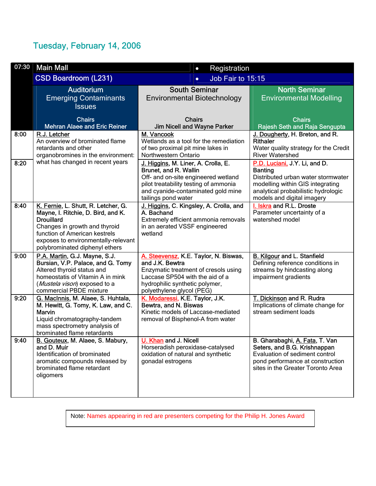#### Tuesday, February 14, 2006

| 07:30 | <b>Main Mall</b><br>Registration<br>$\bullet$                            |                                                              |                                                                       |
|-------|--------------------------------------------------------------------------|--------------------------------------------------------------|-----------------------------------------------------------------------|
|       | <b>CSD Boardroom (L231)</b>                                              | Job Fair to 15:15<br>$\bullet$                               |                                                                       |
|       | <b>Auditorium</b>                                                        | <b>South Seminar</b>                                         | <b>North Seminar</b>                                                  |
|       | <b>Emerging Contaminants</b>                                             | <b>Environmental Biotechnology</b>                           | <b>Environmental Modelling</b>                                        |
|       | <b>Issues</b>                                                            |                                                              |                                                                       |
|       | <b>Chairs</b>                                                            | <b>Chairs</b>                                                | <b>Chairs</b>                                                         |
|       | <b>Mehran Alaee and Eric Reiner</b>                                      | Jim Nicell and Wayne Parker                                  | Rajesh Seth and Raja Sengupta                                         |
| 8:00  | R.J. Letcher                                                             | M. Vancook                                                   | J. Dougherty, H. Breton, and R.                                       |
|       | An overview of brominated flame                                          | Wetlands as a tool for the remediation                       | Rithaler                                                              |
|       | retardants and other                                                     | of two proximal pit mine lakes in                            | Water quality strategy for the Credit                                 |
|       | organobromines in the environment:                                       | Northwestern Ontario                                         | <b>River Watershed</b>                                                |
| 8:20  | what has changed in recent years                                         | J. Higgins, M. Liner, A. Crolla, E.<br>Brunet, and R. Wallin | P.D. Luciani, J.Y. Li, and D.<br><b>Banting</b>                       |
|       |                                                                          | Off- and on-site engineered wetland                          | Distributed urban water stormwater                                    |
|       |                                                                          | pilot treatability testing of ammonia                        | modelling within GIS integrating                                      |
|       |                                                                          | and cyanide-contaminated gold mine                           | analytical probabilistic hydrologic                                   |
|       |                                                                          | tailings pond water                                          | models and digital imagery                                            |
| 8:40  | K. Fernie, L. Shutt, R. Letcher, G.                                      | J. Higgins, C. Kingsley, A. Crolla, and                      | I. Iskra and R.L. Droste                                              |
|       | Mayne, I. Ritchie, D. Bird, and K.                                       | A. Bachand                                                   | Parameter uncertainty of a                                            |
|       | <b>Drouillard</b>                                                        | Extremely efficient ammonia removals                         | watershed model                                                       |
|       | Changes in growth and thyroid<br>function of American kestrels           | in an aerated VSSF engineered<br>wetland                     |                                                                       |
|       | exposes to environmentally-relevant                                      |                                                              |                                                                       |
|       | polybrominated diphenyl ethers                                           |                                                              |                                                                       |
| 9:00  | P.A. Martin, G.J. Mayne, S.J.                                            | A. Steevensz, K.E. Taylor, N. Biswas,                        | <b>B. Kilgour and L. Stanfield</b>                                    |
|       | Bursian, V.P. Palace, and G. Tomy                                        | and J.K. Bewtra                                              | Defining reference conditions in                                      |
|       | Altered thyroid status and                                               | Enzymatic treatment of cresols using                         | streams by hindcasting along                                          |
|       | homeostatis of Vitamin A in mink                                         | Laccase SP504 with the aid of a                              | impairment gradients                                                  |
|       | (Mustela vison) exposed to a                                             | hydrophilic synthetic polymer,                               |                                                                       |
|       | commercial PBDE mixture                                                  | polyethylene glycol (PEG)                                    |                                                                       |
| 9:20  | G. MacInnis, M. Alaee, S. Huhtala,<br>M. Hewitt, G. Tomy, K. Law, and C. | K. Modaressi, K.E. Taylor, J.K.<br>Bewtra, and N. Biswas     | T. Dickinson and R. Rudra<br>Implications of climate change for       |
|       | Marvin                                                                   | Kinetic models of Laccase-mediated                           | stream sediment loads                                                 |
|       | Liquid chromatography-tandem                                             | removal of Bisphenol-A from water                            |                                                                       |
|       | mass spectrometry analysis of                                            |                                                              |                                                                       |
|       | brominated flame retardants                                              |                                                              |                                                                       |
| 9:40  | B. Gouteux, M. Alaee, S. Mabury,                                         | U. Khan and J. Nicell                                        | B. Gharabaghi, A. Fata, T. Van                                        |
|       | and D. Muir                                                              | Horseradish peroxidase-catalysed                             | Seters, and B.G. Krishnappan                                          |
|       | Identification of brominated                                             | oxidation of natural and synthetic                           | Evaluation of sediment control                                        |
|       | aromatic compounds released by<br>brominated flame retardant             | gonadal estrogens                                            | pond performance at construction<br>sites in the Greater Toronto Area |
|       | oligomers                                                                |                                                              |                                                                       |
|       |                                                                          |                                                              |                                                                       |
|       |                                                                          |                                                              |                                                                       |
|       |                                                                          |                                                              |                                                                       |

Note: Names appearing in red are presenters competing for the Philip H. Jones Award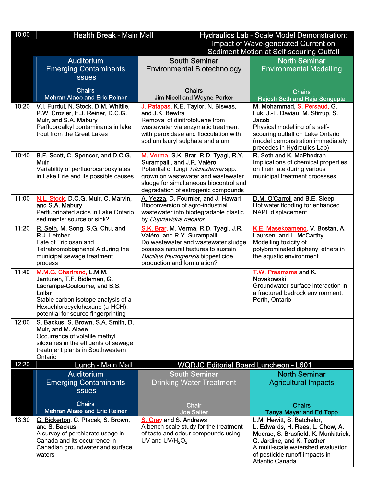| 10:00 | <b>Health Break - Main Mall</b>                                       | Hydraulics Lab - Scale Model Demonstration:                                  |                                                                     |  |  |
|-------|-----------------------------------------------------------------------|------------------------------------------------------------------------------|---------------------------------------------------------------------|--|--|
|       |                                                                       | Impact of Wave-generated Current on                                          |                                                                     |  |  |
|       |                                                                       |                                                                              | Sediment Motion at Self-scouring Outfall                            |  |  |
|       | <b>Auditorium</b>                                                     | <b>South Seminar</b>                                                         | <b>North Seminar</b>                                                |  |  |
|       | <b>Emerging Contaminants</b><br><b>Issues</b>                         | <b>Environmental Biotechnology</b>                                           | <b>Environmental Modelling</b>                                      |  |  |
|       |                                                                       |                                                                              |                                                                     |  |  |
|       | <b>Chairs</b><br><b>Mehran Alaee and Eric Reiner</b>                  | <b>Chairs</b><br><b>Jim Nicell and Wayne Parker</b>                          | <b>Chairs</b><br>Rajesh Seth and Raja Sengupta                      |  |  |
| 10:20 | V.I. Furdui, N. Stock, D.M. Whittle,                                  | J. Patapas, K.E. Taylor, N. Biswas,                                          | M. Mohammad, S. Persaud, G.                                         |  |  |
|       | P.W. Crozier, E.J. Reiner, D.C.G.                                     | and J.K. Bewtra                                                              | Luk, J.-L. Daviau, M. Stirrup, S.                                   |  |  |
|       | Muir, and S.A. Mabury                                                 | Removal of dinitrotoluene from                                               | Jacob                                                               |  |  |
|       | Perfluoroalkyl contaminants in lake<br>trout from the Great Lakes     | wastewater via enzymatic treatment<br>with peroxidase and flocculation with  | Physical modelling of a self-<br>scouring outfall on Lake Ontario   |  |  |
|       |                                                                       | sodium lauryl sulphate and alum                                              | (model demonstration immediately<br>precedes in Hydraulics Lab)     |  |  |
| 10:40 | B.F. Scott, C. Spencer, and D.C.G.                                    | M. Verma, S.K. Brar, R.D. Tyagi, R.Y.                                        | R. Seth and K. McPhedran                                            |  |  |
|       | <b>Muir</b>                                                           | Surampalli, and J.R. Valéro                                                  | Implications of chemical properties                                 |  |  |
|       | Variability of perfluorocarboxylates                                  | Potential of fungi Trichoderma spp.                                          | on their fate during various                                        |  |  |
|       | in Lake Erie and its possible causes                                  | grown on wastewater and wastewater<br>sludge for simultaneous biocontrol and | municipal treatment processes                                       |  |  |
|       |                                                                       | degradation of estrogenic compounds                                          |                                                                     |  |  |
| 11:00 | N.L. Stock, D.C.G. Muir, C. Marvin,                                   | A. Yezza, D. Fournier, and J. Hawari                                         | D.M. O'Carroll and B.E. Sleep                                       |  |  |
|       | and S.A. Mabury<br>Perfluorinated acids in Lake Ontario               | Bioconversion of agro-industrial<br>wastewater into biodegradable plastic    | Hot water flooding for enhanced<br>NAPL displacement                |  |  |
|       | sediments: source or sink?                                            | by Cupriavidus necator                                                       |                                                                     |  |  |
| 11:20 | R. Seth, M. Song, S.G. Chu, and                                       | S.K. Brar, M. Verma, R.D. Tyagi, J.R.                                        | K.E. Masekoameng, V. Bostan, A.                                     |  |  |
|       | R.J. Letcher<br>Fate of Triclosan and                                 | Valéro, and R.Y. Surampalli<br>Do wastewater and wastewater sludge           | Laursen, and L. McCarthy<br>Modelling toxicity of                   |  |  |
|       | Tetrabromobisphenol A during the                                      | possess natural features to sustain                                          | polybrominated diphenyl ethers in                                   |  |  |
|       | municipal sewage treatment                                            | Bacillus thuringiensis biopesticide                                          | the aquatic environment                                             |  |  |
|       | process                                                               | production and formulation?                                                  |                                                                     |  |  |
| 11:40 | M.M.G. Chartrand, L.M.M.<br>Jantunen, T.F. Bidleman, G.               |                                                                              | T.W. Praamsma and K.<br>Novakowski                                  |  |  |
|       | Lacrampe-Couloume, and B.S.                                           |                                                                              | Groundwater-surface interaction in                                  |  |  |
|       | Lollar                                                                |                                                                              | a fractured bedrock environment,                                    |  |  |
|       | Stable carbon isotope analysis of a-                                  |                                                                              | Perth, Ontario                                                      |  |  |
|       | Hexachlorocyclohexane (a-HCH):<br>potential for source fingerprinting |                                                                              |                                                                     |  |  |
| 12:00 | S. Backus, S. Brown, S.A. Smith, D.                                   |                                                                              |                                                                     |  |  |
|       | Muir, and M. Alaee                                                    |                                                                              |                                                                     |  |  |
|       | Occurrence of volatile methyl<br>siloxanes in the effluents of sewage |                                                                              |                                                                     |  |  |
|       | treatment plants in Southwestern                                      |                                                                              |                                                                     |  |  |
|       | Ontario                                                               |                                                                              |                                                                     |  |  |
| 12:20 | Lunch - Main Mall<br><b>Auditorium</b>                                | <b>WQRJC Editorial Board Luncheon - L601</b><br><b>South Seminar</b>         | <b>North Seminar</b>                                                |  |  |
|       | <b>Emerging Contaminants</b>                                          | <b>Drinking Water Treatment</b>                                              | <b>Agricultural Impacts</b>                                         |  |  |
|       | <b>Issues</b>                                                         |                                                                              |                                                                     |  |  |
|       |                                                                       |                                                                              |                                                                     |  |  |
|       | <b>Chairs</b><br><b>Mehran Alaee and Eric Reiner</b>                  | <b>Chair</b><br><b>Joe Salter</b>                                            | <b>Chairs</b><br><b>Tanya Mayer and Ed Topp</b>                     |  |  |
| 13:30 | G. Bickerton, C. Ptacek, S. Brown,                                    | S. Gray and S. Andrews                                                       | L.M. Hewitt, S. Batchelor,                                          |  |  |
|       | and S. Backus                                                         | A bench scale study for the treatment                                        | L. Edwards, H. Rees, L. Chow, A.                                    |  |  |
|       | A survey of perchlorate usage in<br>Canada and its occurrence in      | of taste and odour compounds using<br>UV and $UV/H2O2$                       | Macrae, S. Brasfield, K. Munkittrick,<br>C. Jardine, and K. Teather |  |  |
|       | Canadian groundwater and surface                                      |                                                                              | A multi-scale watershed evaluation                                  |  |  |
|       | waters                                                                |                                                                              | of pesticide runoff impacts in                                      |  |  |
|       |                                                                       |                                                                              | Atlantic Canada                                                     |  |  |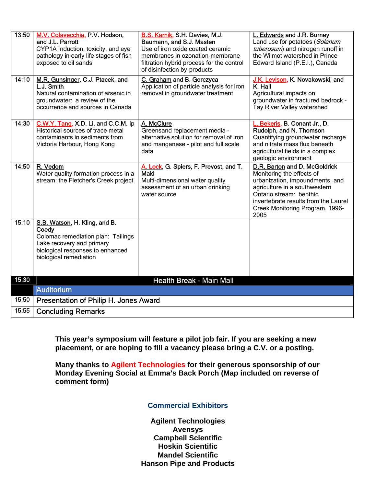| 13:50 | M.V. Colavecchia, P.V. Hodson,<br>and J.L. Parrott<br>CYP1A Induction, toxicity, and eye<br>pathology in early life stages of fish<br>exposed to oil sands              | B.S. Karnik, S.H. Davies, M.J.<br>Baumann, and S.J. Masten<br>Use of iron oxide coated ceramic<br>membranes in ozonation-membrane<br>filtration hybrid process for the control<br>of disinfection by-products | L. Edwards and J.R. Burney<br>Land use for potatoes (Solanum<br>tuberosum) and nitrogen runoff in<br>the Wilmot watershed in Prince<br>Edward Island (P.E.I.), Canada                                                                        |
|-------|-------------------------------------------------------------------------------------------------------------------------------------------------------------------------|---------------------------------------------------------------------------------------------------------------------------------------------------------------------------------------------------------------|----------------------------------------------------------------------------------------------------------------------------------------------------------------------------------------------------------------------------------------------|
| 14:10 | M.R. Gunsinger, C.J. Ptacek, and<br>L.J. Smith<br>Natural contamination of arsenic in<br>groundwater: a review of the<br>occurrence and sources in Canada               | C. Graham and B. Gorczyca<br>Application of particle analysis for iron<br>removal in groundwater treatment                                                                                                    | J.K. Levison, K. Novakowski, and<br>K. Hall<br>Agricultural impacts on<br>groundwater in fractured bedrock -<br>Tay River Valley watershed                                                                                                   |
| 14:30 | C.W.Y. Tang, X.D. Li, and C.C.M. Ip<br>Historical sources of trace metal<br>contaminants in sediments from<br>Victoria Harbour, Hong Kong                               | A. McClure<br>Greensand replacement media -<br>alternative solution for removal of iron<br>and manganese - pilot and full scale<br>data                                                                       | L. Bekeris, B. Conant Jr., D.<br>Rudolph, and N. Thomson<br>Quantifying groundwater recharge<br>and nitrate mass flux beneath<br>agricultural fields in a complex<br>geologic environment                                                    |
| 14:50 | R. Vedom<br>Water quality formation process in a<br>stream: the Fletcher's Creek project                                                                                | A. Lock, G. Spiers, F. Prevost, and T.<br><b>Maki</b><br>Multi-dimensional water quality<br>assessment of an urban drinking<br>water source                                                                   | D.R. Barton and D. McGoldrick<br>Monitoring the effects of<br>urbanization, impoundments, and<br>agriculture in a southwestern<br>Ontario stream: benthic<br>invertebrate results from the Laurel<br>Creek Monitoring Program, 1996-<br>2005 |
| 15:10 | S.B. Watson, H. Kling, and B.<br>Coedy<br>Colomac remediation plan: Tailings<br>Lake recovery and primary<br>biological responses to enhanced<br>biological remediation |                                                                                                                                                                                                               |                                                                                                                                                                                                                                              |
| 15:30 |                                                                                                                                                                         | Health Break - Main Mall                                                                                                                                                                                      |                                                                                                                                                                                                                                              |
|       | <b>Auditorium</b>                                                                                                                                                       |                                                                                                                                                                                                               |                                                                                                                                                                                                                                              |
| 15:50 | Presentation of Philip H. Jones Award                                                                                                                                   |                                                                                                                                                                                                               |                                                                                                                                                                                                                                              |
| 15:55 | <b>Concluding Remarks</b>                                                                                                                                               |                                                                                                                                                                                                               |                                                                                                                                                                                                                                              |

**This year's symposium will feature a pilot job fair. If you are seeking a new placement, or are hoping to fill a vacancy please bring a C.V. or a posting.** 

**Many thanks to Agilent Technologies for their generous sponsorship of our Monday Evening Social at Emma's Back Porch (Map included on reverse of comment form)** 

#### **Commercial Exhibitors**

**Agilent Technologies Avensys Campbell Scientific Hoskin Scientific Mandel Scientific Hanson Pipe and Products**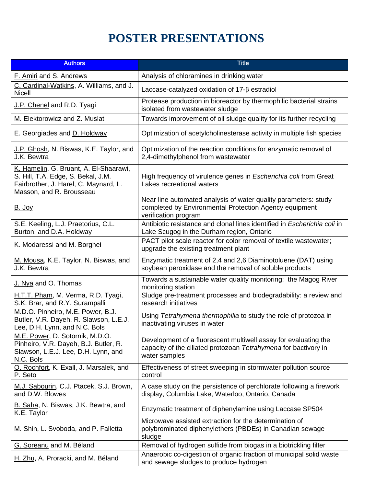### **POSTER PRESENTATIONS**

| <b>Authors</b>                                                                                                                                    | <b>Title</b>                                                                                                                                        |
|---------------------------------------------------------------------------------------------------------------------------------------------------|-----------------------------------------------------------------------------------------------------------------------------------------------------|
| F. Amiri and S. Andrews                                                                                                                           | Analysis of chloramines in drinking water                                                                                                           |
| C. Cardinal-Watkins, A. Williams, and J.<br>Nicell                                                                                                | Laccase-catalyzed oxidation of $17-\beta$ estradiol                                                                                                 |
| J.P. Chenel and R.D. Tyagi                                                                                                                        | Protease production in bioreactor by thermophilic bacterial strains<br>isolated from wastewater sludge                                              |
| M. Elektorowicz and Z. Muslat                                                                                                                     | Towards improvement of oil sludge quality for its further recycling                                                                                 |
| E. Georgiades and D. Holdway                                                                                                                      | Optimization of acetylcholinesterase activity in multiple fish species                                                                              |
| J.P. Ghosh, N. Biswas, K.E. Taylor, and<br>J.K. Bewtra                                                                                            | Optimization of the reaction conditions for enzymatic removal of<br>2,4-dimethylphenol from wastewater                                              |
| K. Hamelin, G. Bruant, A. El-Shaarawi,<br>S. Hill, T.A. Edge, S. Bekal, J.M.<br>Fairbrother, J. Harel, C. Maynard, L.<br>Masson, and R. Brousseau | High frequency of virulence genes in Escherichia coli from Great<br>Lakes recreational waters                                                       |
| <u>B. Joy</u>                                                                                                                                     | Near line automated analysis of water quality parameters: study<br>completed by Environmental Protection Agency equipment<br>verification program   |
| S.E. Keeling, L.J. Praetorius, C.L.<br>Burton, and D.A. Holdway                                                                                   | Antibiotic resistance and clonal lines identified in Escherichia coli in<br>Lake Scugog in the Durham region, Ontario                               |
| K. Modaressi and M. Borghei                                                                                                                       | PACT pilot scale reactor for color removal of textile wastewater;<br>upgrade the existing treatment plant                                           |
| M. Mousa, K.E. Taylor, N. Biswas, and<br>J.K. Bewtra                                                                                              | Enzymatic treatment of 2,4 and 2,6 Diaminotoluene (DAT) using<br>soybean peroxidase and the removal of soluble products                             |
| J. Nya and O. Thomas                                                                                                                              | Towards a sustainable water quality monitoring: the Magog River<br>monitoring station                                                               |
| H.T.T. Pham, M. Verma, R.D. Tyagi,<br>S.K. Brar, and R.Y. Surampalli                                                                              | Sludge pre-treatment processes and biodegradability: a review and<br>research initiatives                                                           |
| M.D.O. Pinheiro, M.E. Power, B.J.<br>Butler, V.R. Dayeh, R. Slawson, L.E.J.<br>Lee, D.H. Lynn, and N.C. Bols                                      | Using Tetrahymena thermophilia to study the role of protozoa in<br>inactivating viruses in water                                                    |
| M.E. Power, D. Sotornik, M.D.O.<br>Pinheiro, V.R. Dayeh, B.J. Butler, R.<br>Slawson, L.E.J. Lee, D.H. Lynn, and<br>N.C. Bols                      | Development of a fluorescent multiwell assay for evaluating the<br>capacity of the ciliated protozoan Tetrahymena for bactivory in<br>water samples |
| Q. Rochfort, K. Exall, J. Marsalek, and<br>P. Seto                                                                                                | Effectiveness of street sweeping in stormwater pollution source<br>control                                                                          |
| M.J. Sabourin, C.J. Ptacek, S.J. Brown,<br>and D.W. Blowes                                                                                        | A case study on the persistence of perchlorate following a firework<br>display, Columbia Lake, Waterloo, Ontario, Canada                            |
| B. Saha, N. Biswas, J.K. Bewtra, and<br>K.E. Taylor                                                                                               | Enzymatic treatment of diphenylamine using Laccase SP504                                                                                            |
| M. Shin, L. Svoboda, and P. Falletta                                                                                                              | Microwave assisted extraction for the determination of<br>polybrominated diphenylethers (PBDEs) in Canadian sewage<br>sludge                        |
| G. Soreanu and M. Béland                                                                                                                          | Removal of hydrogen sulfide from biogas in a biotrickling filter                                                                                    |
| H. Zhu, A. Proracki, and M. Béland                                                                                                                | Anaerobic co-digestion of organic fraction of municipal solid waste<br>and sewage sludges to produce hydrogen                                       |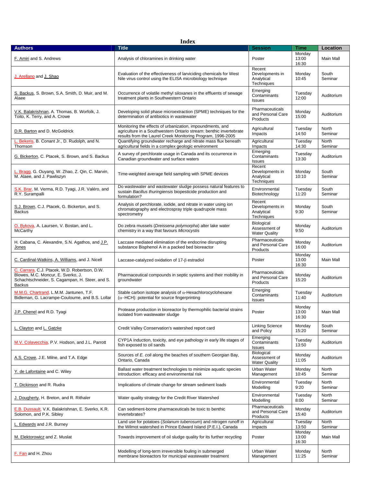| <b>Index</b>                                                                                                                                            |                                                                                                                                                                                                |                                                       |                          |                  |  |
|---------------------------------------------------------------------------------------------------------------------------------------------------------|------------------------------------------------------------------------------------------------------------------------------------------------------------------------------------------------|-------------------------------------------------------|--------------------------|------------------|--|
| <b>Authors</b>                                                                                                                                          | <b>Title</b>                                                                                                                                                                                   | <b>Session</b>                                        | Time                     | Location         |  |
| F. Amiri and S. Andrews                                                                                                                                 | Analysis of chloramines in drinking water                                                                                                                                                      | Poster                                                | Monday<br>13:00<br>16:30 | Main Mall        |  |
| <u>J. Arellano</u> and <u>J. Shao</u>                                                                                                                   | Evaluation of the effectiveness of larviciding chemicals for West<br>Nile virus control using the ELISA microbiology technique                                                                 | Recent<br>Developments in<br>Analytical<br>Techniques | Monday<br>10:45          | South<br>Seminar |  |
| S. Backus, S. Brown, S.A. Smith, D. Muir, and M.<br>Alaee                                                                                               | Occurrence of volatile methyl siloxanes in the effluents of sewage<br>treatment plants in Southwestern Ontario                                                                                 | Emerging<br>Contaminants<br><b>Issues</b>             | Tuesday<br>12:00         | Auditorium       |  |
| V.K. Balakrishnan, A. Thomas, B. Worfolk, J.<br>Toito, K. Terry, and A. Crowe                                                                           | Developing solid phase microextraction (SPME) techniques for the<br>determination of antibiotics in wastewater                                                                                 | Pharmaceuticals<br>and Personal Care<br>Products      | Monday<br>15:00          | Auditorium       |  |
| D.R. Barton and D. McGoldrick                                                                                                                           | Monitoring the effects of urbanization, impoundments, and<br>agriculture in a Southwestern Ontario stream: benthic invertebrate<br>results from the Laurel Creek Monitoring Program, 1996-2005 | Agricultural<br>Impacts                               | Tuesday<br>14:50         | North<br>Seminar |  |
| L. Bekeris, B. Conant Jr., D. Rudolph, and N.<br>Thomson                                                                                                | Quantifying groundwater recharge and nitrate mass flux beneath<br>agricultural fields in a complex geologic environment                                                                        | Agricultural<br>Impacts                               | Tuesday<br>14:30         | North<br>Seminar |  |
| G. Bickerton, C. Ptacek, S. Brown, and S. Backus                                                                                                        | A survey of perchlorate usage in Canada and its occurrence in<br>Canadian groundwater and surface waters                                                                                       | Emerging<br>Contaminants<br><b>Issues</b>             | Tuesday<br>13:30         | Auditorium       |  |
| L. Bragg, G. Ouyang, W. Zhao, Z. Qin, C. Marvin,<br>M. Alaee, and J. Pawliszyn                                                                          | Time-weighted average field sampling with SPME devices                                                                                                                                         | Recent<br>Developments in<br>Analytical<br>Techniques | Monday<br>10:10          | South<br>Seminar |  |
| S.K. Brar, M. Verma, R.D. Tyagi, J.R. Valéro, and<br>R.Y. Surampalli                                                                                    | Do wastewater and wastewater sludge possess natural features to<br>sustain Bacillus thuringiensis biopesticide production and<br>formulation?                                                  | Environmental<br>Biotechnology                        | Tuesday<br>11:20         | South<br>Seminar |  |
| S.J. Brown, C.J. Ptacek, G. Bickerton, and S.<br><b>Backus</b>                                                                                          | Analysis of perchlorate, iodide, and nitrate in water using ion<br>chromatography and electrospray triple quadrupole mass<br>spectrometry                                                      | Recent<br>Developments in<br>Analytical<br>Techniques | Monday<br>9:30           | South<br>Seminar |  |
| O. Bykova, A. Laursen, V. Bostan, and L.<br><b>McCarthy</b>                                                                                             | Do zebra mussels (Dreissena polymorpha) alter lake water<br>chemistry in a way that favours Microcystis                                                                                        | Biological<br>Assessment of<br><b>Water Quality</b>   | Monday<br>9:50           | Auditorium       |  |
| H. Cabana, C. Alexandre, S.N. Agathos, and J.P.<br>Jones                                                                                                | Laccase mediated elimination of the endocrine disrupting<br>substance Bisphenol A in a packed bed bioreactor                                                                                   | Pharmaceuticals<br>and Personal Care<br>Products      | Monday<br>16:00          | Auditorium       |  |
| C. Cardinal-Watkins, A. Williams, and J. Nicell                                                                                                         | Laccase-catalyzed oxidation of $17-\beta$ estradiol                                                                                                                                            | Poster                                                | Monday<br>13:00<br>16:30 | Main Mall        |  |
| C. Carrara, C.J. Ptacek, W.D. Robertson, D.W.<br>Blowes, M.C. Moncur, E. Sverko, J.<br>Schachtschneider, S. Cagampan, H. Steer, and S.<br><b>Backus</b> | Pharmaceutical compounds in septic systems and their mobility in<br>groundwater                                                                                                                | Pharmaceuticals<br>and Personal Care<br>Products      | Monday<br>15:20          | Auditorium       |  |
| M.M.G. Chartrand, L.M.M. Jantunen, T.F.<br>Bidleman, G. Lacrampe-Couloume, and B.S. Lollar                                                              | Stable carbon isotope analysis of $\alpha$ -Hexachlorocyclohexane<br>$(\alpha - HCH)$ : potential for source fingerprinting                                                                    | Emerging<br>Contaminants<br><b>Issues</b>             | Tuesday<br>11:40         | Auditorium       |  |
| J.P. Chenel and R.D. Tyagi                                                                                                                              | Protease production in bioreactor by thermophilic bacterial strains<br>isolated from wastewater sludge                                                                                         | Poster                                                | Monday<br>13:00<br>16:30 | Main Mall        |  |
| L. Clayton and L. Gatzke                                                                                                                                | Credit Valley Conservation's watershed report card                                                                                                                                             | <b>Linking Science</b><br>and Policy                  | Monday<br>15:20          | South<br>Seminar |  |
| M.V. Colavecchia, P.V. Hodson, and J.L. Parrott                                                                                                         | CYP1A induction, toxicity, and eye pathology in early life stages of<br>fish exposed to oil sands                                                                                              | Emerging<br>Contaminants<br><b>Issues</b>             | Tuesday<br>13:50         | Auditorium       |  |
| A.S. Crowe, J.E. Milne, and T.A. Edge                                                                                                                   | Sources of E. coli along the beaches of southern Georgian Bay,<br>Ontario, Canada                                                                                                              | Biological<br>Assessment of<br><b>Water Quality</b>   | Monday<br>11:05          | Auditorium       |  |
| Y. de Lafontaine and C. Wiley                                                                                                                           | Ballast water treatment technologies to minimize aquatic species<br>introduction: efficacy and environmental risk                                                                              | Urban Water<br>Management                             | Monday<br>10:45          | North<br>Seminar |  |
| T. Dickinson and R. Rudra                                                                                                                               | Implications of climate change for stream sediment loads                                                                                                                                       | Environmental<br>Modelling                            | Tuesday<br>9:20          | North<br>Seminar |  |
| J. Dougherty, H. Breton, and R. Rithaler                                                                                                                | Water quality strategy for the Credit River Watershed                                                                                                                                          | Environmental<br>Modelling                            | Tuesday<br>8:00          | North<br>Seminar |  |
| E.B. Dussault, V.K. Balakrishnan, E. Sverko, K.R.<br>Solomon, and P.K. Sibley                                                                           | Can sediment-borne pharmaceuticals be toxic to benthic<br>invertebrates?                                                                                                                       | Pharmaceuticals<br>and Personal Care<br>Products      | Monday<br>15:40          | Auditorium       |  |
| L. Edwards and J.R. Burney                                                                                                                              | Land use for potatoes (Solanum tuberosum) and nitrogen runoff in<br>the Wilmot watershed in Prince Edward Island (P.E.I.), Canada                                                              | Agricultural<br>Impacts                               | Tuesday<br>13:50         | North<br>Seminar |  |
| M. Elektorowicz and Z. Muslat                                                                                                                           | Towards improvement of oil sludge quality for its further recycling                                                                                                                            | Poster                                                | Monday<br>13:00<br>16:30 | Main Mall        |  |
| F. Fan and H. Zhou                                                                                                                                      | Modelling of long-term irreversible fouling in submerged<br>membrane bioreactors for municipal wastewater treatment                                                                            | Urban Water<br>Management                             | Monday<br>11:25          | North<br>Seminar |  |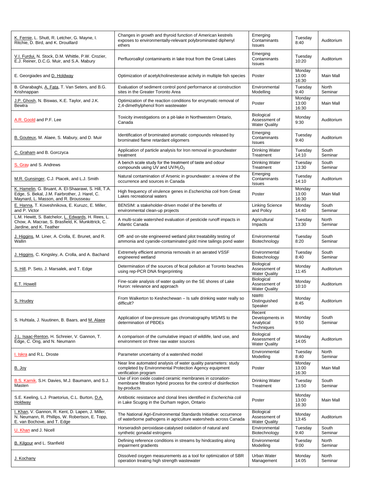| K. Fernie, L. Shutt, R. Letcher, G. Mayne, I.<br>Ritchie, D. Bird, and K. Drouillard                                                           | Changes in growth and thyroid function of American kestrels<br>exposes to environmentally-relevant polybrominated diphenyl<br>ethers              | Emerging<br>Contaminants<br><b>Issues</b>             | Tuesday<br>8:40          | Auditorium       |
|------------------------------------------------------------------------------------------------------------------------------------------------|---------------------------------------------------------------------------------------------------------------------------------------------------|-------------------------------------------------------|--------------------------|------------------|
| V.I. Furdui, N. Stock, D.M. Whittle, P.W. Crozier,<br>E.J. Reiner, D.C.G. Muir, and S.A. Mabury                                                | Perfluoroalkyl contaminants in lake trout from the Great Lakes                                                                                    | Emerging<br>Contaminants<br><b>Issues</b>             | Tuesday<br>10:20         | Auditorium       |
| E. Georgiades and D. Holdway                                                                                                                   | Optimization of acetylcholinesterase activity in multiple fish species                                                                            | Poster                                                | Monday<br>13:00<br>16:30 | Main Mall        |
| B. Gharabaghi, A. Fata, T. Van Seters, and B.G.<br>Krishnappan                                                                                 | Evaluation of sediment control pond performance at construction<br>sites in the Greater Toronto Area                                              | Environmental<br>Modelling                            | Tuesday<br>9:40          | North<br>Seminar |
| J.P. Ghosh, N. Biswas, K.E. Taylor, and J.K.<br><b>Bewtra</b>                                                                                  | Optimization of the reaction conditions for enzymatic removal of<br>2,4-dimethylphenol from wastewater                                            | Poster                                                | Monday<br>13:00<br>16:30 | Main Mall        |
| A.R. Goold and P.F. Lee                                                                                                                        | Toxicity investigations on a pit-lake in Northwestern Ontario,<br>Canada                                                                          | Biological<br>Assessment of<br><b>Water Quality</b>   | Monday<br>9:30           | Auditorium       |
| B. Gouteux, M. Alaee, S. Mabury, and D. Muir                                                                                                   | Identification of brominated aromatic compounds released by<br>brominated flame retardant oligomers                                               | Emerging<br>Contaminants<br>Issues                    | Tuesday<br>9:40          | Auditorium       |
| C. Graham and B. Gorczyca                                                                                                                      | Application of particle analysis for Iron removal in groundwater<br>treatment                                                                     | <b>Drinking Water</b><br>Treatment                    | Tuesday<br>14:10         | South<br>Seminar |
| S. Gray and S. Andrews                                                                                                                         | A bench scale study for the treatment of taste and odour<br>compounds using UV and UV/H <sub>2</sub> O <sub>2</sub>                               | <b>Drinking Water</b><br>Treatment                    | Tuesday<br>13:30         | South<br>Seminar |
| M.R. Gunsinger, C.J. Ptacek, and L.J. Smith                                                                                                    | Natural contamination of Arsenic in groundwater: a review of the<br>occurrence and sources in Canada                                              | Emerging<br>Contaminants<br><b>Issues</b>             | Tuesday<br>14:10         | Auditorium       |
| K. Hamelin, G. Bruant, A. El-Shaarawi, S. Hill, T.A.<br>Edge, S. Bekal, J.M. Fairbrother, J. Harel, C.<br>Maynard, L. Masson, and R. Brousseau | High frequency of virulence genes in Escherichia coli from Great<br>Lakes recreational waters                                                     | Poster                                                | Monday<br>13:00<br>16:30 | Main Mall        |
| E. Hanna, T. Koveshnikova, E. Kuruzc, E. Miller,<br>and P. Victor                                                                              | BENSIM: a stakeholder-driven model of the benefits of<br>environmental clean-up projects                                                          | <b>Linking Science</b><br>and Policy                  | Monday<br>14:40          | South<br>Seminar |
| L.M. Hewitt, S. Batchelor, L. Edwards, H. Rees, L.<br>Chow, A. Macrae, S. Brasfield, K. Munkittrick, C.<br>Jardine, and K. Teather             | A multi-scale watershed evaluation of pesticide runoff impacts in<br>Atlantic Canada                                                              | Agricultural<br>Impacts                               | Tuesday<br>13:30         | North<br>Seminar |
| J. Higgins, M. Liner, A. Crolla, E. Brunet, and R.<br>Wallin                                                                                   | Off- and on-site engineered wetland pilot treatability testing of<br>ammonia and cyanide-contaminated gold mine tailings pond water               | Environmental<br>Biotechnology                        | Tuesday<br>8:20          | South<br>Seminar |
| J. Higgins, C. Kingsley, A. Crolla, and A. Bachand                                                                                             | Extremely efficient ammonia removals in an aerated VSSF<br>engineered wetland                                                                     | Environmental<br>Biotechnology                        | Tuesday<br>8:40          | South<br>Seminar |
| S. Hill, P. Seto, J. Marsalek, and T. Edge                                                                                                     | Determination of the sources of fecal pollution at Toronto beaches<br>using rep-PCR DNA fingerprinting                                            | Biological<br>Assessment of<br><b>Water Quality</b>   | Monday<br>11:45          | Auditorium       |
| E.T. Howell                                                                                                                                    | Fine-scale analysis of water quality on the SE shores of Lake<br>Huron: relevance and approach                                                    | Biological<br>Assessment of<br><b>Water Quality</b>   | Monday<br>10:10          | Auditorium       |
| S. Hrudey                                                                                                                                      | From Walkerton to Keshechewan – Is safe drinking water really so<br>difficult?                                                                    | <b>NWRI</b><br>Distinguished<br>Speaker               | Monday<br>8:45           | Auditorium       |
| S. Huhtala, J. Nuutinen, B. Baars, and M. Alaee                                                                                                | Application of low-pressure gas chromatography MS/MS to the<br>determination of PBDEs                                                             | Recent<br>Developments in<br>Analytical<br>Techniques | Monday<br>9:50           | South<br>Seminar |
| J.L. Isaac-Renton, H. Schreier, V. Gannon, T.<br>Edge, C. Ong, and N. Neumann                                                                  | A comparison of the cumulative impact of wildlife, land use, and<br>environment on three raw water sources                                        | Biological<br>Assessment of<br><b>Water Quality</b>   | Monday<br>14:05          | Auditorium       |
| I. Iskra and R.L. Droste                                                                                                                       | Parameter uncertainty of a watershed model                                                                                                        | Environmental<br>Modelling                            | Tuesday<br>8:40          | North<br>Seminar |
| <u>B. Joy</u>                                                                                                                                  | Near line automated analysis of water quality parameters: study<br>completed by Environmental Protection Agency equipment<br>verification program | Poster                                                | Monday<br>13:00<br>16:30 | Main Mall        |
| B.S. Karnik, S.H. Davies, M.J. Baumann, and S.J.<br>Masten                                                                                     | Use of iron oxide coated ceramic membranes in ozonation-<br>membrane filtration hybrid process for the control of disinfection<br>by-products     | <b>Drinking Water</b><br>Treatment                    | Tuesday<br>13:50         | South<br>Seminar |
| S.E. Keeling, L.J. Praetorius, C.L. Burton, D.A.<br>Holdway                                                                                    | Antibiotic resistance and clonal lines identified in Escherichia coli<br>in Lake Scugog in the Durham region, Ontario                             | Poster                                                | Monday<br>13:00<br>16:30 | Main Mall        |
| I. Khan, V. Gannon, R. Kent, D. Lapen, J. Miller,<br>N. Neumann, R. Phillips, W. Robertson, E. Topp,<br>E. van Bochove, and T. Edge            | The National Agri-Environmental Standards Initiative: occurrence<br>of waterborne pathogens in agriculture watersheds across Canada               | Biological<br>Assessment of<br><b>Water Quality</b>   | Monday<br>13:45          | Auditorium       |
| U. Khan and J. Nicell                                                                                                                          | Horseradish peroxidase-catalysed oxidation of natural and<br>synthetic gonadal estrogens                                                          | Environmental<br>Biotechnology                        | Tuesday<br>9:40          | South<br>Seminar |
| <b>B. Kilgour and L. Stanfield</b>                                                                                                             | Defining reference conditions in streams by hindcasting along<br>impairment gradients                                                             | Environmental<br>Modelling                            | Tuesday<br>9:00          | North<br>Seminar |
| J. Kochany                                                                                                                                     | Dissolved oxygen measurements as a tool for optimization of SBR<br>operation treating high strength wastewater                                    | Urban Water<br>Management                             | Monday<br>14:05          | North<br>Seminar |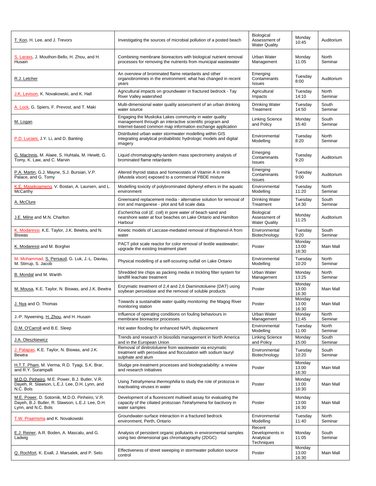| T. Kon, H. Lee, and J. Trevors                                                                                            | Investigating the sources of microbial pollution of a posted beach                                                                                                              | Biological<br>Assessment of<br><b>Water Quality</b>   | Monday<br>10:45          | Auditorium       |
|---------------------------------------------------------------------------------------------------------------------------|---------------------------------------------------------------------------------------------------------------------------------------------------------------------------------|-------------------------------------------------------|--------------------------|------------------|
| S. Larass, J. Mouthon-Bello, H. Zhou, and H.<br>Husain                                                                    | Combining membrane bioreactors with biological nutrient removal<br>processes for removing the nutrients from municipal wastewater                                               | Urban Water<br>Management                             | Monday<br>11:05          | North<br>Seminar |
| R.J. Letcher                                                                                                              | An overview of brominated flame retardants and other<br>organobromines in the environment: what has changed in recent<br>years                                                  | Emerging<br>Contaminants<br><b>Issues</b>             | Tuesday<br>8:00          | Auditorium       |
| J.K. Levison, K. Novakowski, and K. Hall                                                                                  | Agricultural impacts on groundwater in fractured bedrock - Tay<br>River Valley watershed                                                                                        | Agricultural<br>Impacts                               | Tuesday<br>14:10         | North<br>Seminar |
| A. Lock, G. Spiers, F. Prevost, and T. Maki                                                                               | Multi-dimensional water quality assessment of an urban drinking<br>water source                                                                                                 | <b>Drinking Water</b><br>Treatment                    | Tuesday<br>14:50         | South<br>Seminar |
| M. Logan                                                                                                                  | Engaging the Muskoka Lakes community in water quality<br>management through an interactive scientific program and<br>Internet-based common map information exchange application | <b>Linking Science</b><br>and Policy                  | Monday<br>15:40          | South<br>Seminar |
| P.D. Luciani, J.Y. Li, and D. Banting                                                                                     | Distributed urban water stormwater modelling within GIS<br>integrating analytical probabilistic hydrologic models and digital<br>imagery                                        | Environmental<br>Modelling                            | Tuesday<br>8:20          | North<br>Seminar |
| G. MacInnis, M. Alaee, S. Huhtala, M. Hewitt, G.<br>Tomy, K. Law, and C. Marvin                                           | Liquid chromatography-tandem mass spectrometry analysis of<br>brominated flame retardants                                                                                       | Emerging<br>Contaminants<br><b>Issues</b>             | Tuesday<br>9:20          | Auditorium       |
| P.A. Martin, G.J. Mayne, S.J. Bursian, V.P.<br>Palace, and G. Tomy                                                        | Altered thyroid status and homeostatis of Vitamin A in mink<br>(Mustela vison) exposed to a commercial PBDE mixture                                                             | Emerging<br>Contaminants<br>Issues                    | Tuesdav<br>9:00          | Auditorium       |
| K.E. Masekoameng, V. Bostan, A. Laursen, and L.<br>McCarthy                                                               | Modelling toxicity of polybrominated diphenyl ethers in the aquatic<br>environment                                                                                              | Environmental<br>Modelling                            | Tuesday<br>11:20         | North<br>Seminar |
| A. McClure                                                                                                                | Greensand replacement media - alternative solution for removal of<br>iron and manganese - pilot and full scale data                                                             | <b>Drinking Water</b><br>Treatment                    | Tuesday<br>14:30         | South<br>Seminar |
| J.E. Milne and M.N. Charlton                                                                                              | Escherichia coli (E. coli) in pore water of beach sand and<br>nearshore water at four beaches on Lake Ontario and Hamilton<br>Harbour                                           | Biological<br>Assessment of<br><b>Water Quality</b>   | Monday<br>11:25          | Auditorium       |
| K. Modaressi, K.E. Taylor, J.K. Bewtra, and N.<br><b>Biswas</b>                                                           | Kinetic models of Laccase-mediated removal of Bisphenol-A from<br>water                                                                                                         | Environmental<br>Biotechnology                        | Tuesday<br>9:20          | South<br>Seminar |
| K. Modaressi and M. Borghei                                                                                               | PACT pilot scale reactor for color removal of textile wastewater;<br>upgrade the existing treatment plant                                                                       | Poster                                                | Monday<br>13:00<br>16:30 | Main Mall        |
| M. Mohammad, S. Persaud, G. Luk, J.-L. Daviau,<br>M. Stirrup, S. Jacob                                                    | Physical modelling of a self-scouring outfall on Lake Ontario                                                                                                                   | Environmental<br>Modelling                            | Tuesday<br>10:20         | North<br>Seminar |
| B. Mondal and M. Warith                                                                                                   | Shredded tire chips as packing media in trickling filter system for<br>landfill leachate treatment                                                                              | Urban Water<br>Management                             | Monday<br>13:25          | North<br>Seminar |
| M. Mousa, K.E. Taylor, N. Biswas, and J.K. Bewtra                                                                         | Enzymatic treatment of 2,4 and 2,6 Diaminotoluene (DAT) using<br>soybean peroxidase and the removal of soluble products                                                         | Poster                                                | Monday<br>13:00<br>16:30 | Main Mall        |
| J. Nya and O. Thomas                                                                                                      | Towards a sustainable water quality monitoring: the Magog River<br>monitoring station                                                                                           | Poster                                                | Monday<br>13:00<br>16:30 | Main Mall        |
| J.-P. Nywening, H. Zhou, and H. Husain                                                                                    | Influence of operating conditions on fouling behaviours in<br>membrane bioreactor processes                                                                                     | Urban Water<br>Management                             | Monday<br>11:45          | North<br>Seminar |
| D.M. O'Carroll and B.E. Sleep                                                                                             | Hot water flooding for enhanced NAPL displacement                                                                                                                               | Environmental<br>Modelling                            | Tuesday<br>11:00         | North<br>Seminar |
| J.A. Oleszkiewicz                                                                                                         | Trends and research in biosolids management in North America<br>and in the European Union                                                                                       | <b>Linking Science</b><br>and Policy                  | Monday<br>15:00          | South<br>Seminar |
| J. Patapas, K.E. Taylor, N. Biswas, and J.K.<br>Bewtra                                                                    | Removal of dinitrotoluene from wastewater via enzymatic<br>treatment with peroxidase and flocculation with sodium lauryl<br>sulphate and alum                                   | Environmental<br>Biotechnology                        | Tuesday<br>10:20         | South<br>Seminar |
| H.T.T. Pham, M. Verma, R.D. Tyagi, S.K. Brar,<br>and R.Y. Surampalli                                                      | Sludge pre-treatment processes and biodegradability: a review<br>and research initiatives                                                                                       | Poster                                                | Monday<br>13:00<br>16:30 | Main Mall        |
| M.D.O. Pinheiro, M.E. Power, B.J. Butler, V.R.<br>Dayeh, R. Slawson, L.E.J. Lee, D.H. Lynn, and<br>N.C. Bols              | Using Tetrahymena thermophilia to study the role of protozoa in<br>inactivating viruses in water                                                                                | Poster                                                | Monday<br>13:00<br>16:30 | Main Mall        |
| M.E. Power, D. Sotornik, M.D.O. Pinheiro, V.R.<br>Dayeh, B.J. Butler, R. Slawson, L.E.J. Lee, D.H.<br>Lynn, and N.C. Bols | Development of a fluorescent multiwell assay for evaluating the<br>capacity of the ciliated protozoan Tetrahymena for bactivory in<br>water samples                             | Poster                                                | Monday<br>13:00<br>16:30 | Main Mall        |
| T.W. Praamsma and K. Novakowski                                                                                           | Groundwater-surface interaction in a fractured bedrock<br>environment, Perth, Ontario                                                                                           | Environmental<br>Modelling                            | Tuesday<br>11:40         | North<br>Seminar |
| E.J. Reiner, A.R. Boden, A. Mascalu, and G.<br>Ladwig                                                                     | Analysis of persistent organic pollutants in environmental samples<br>using two dimensional gas chromatography (2DGC)                                                           | Recent<br>Developments in<br>Analytical<br>Techniques | Monday<br>11:05          | South<br>Seminar |
| Q. Rochfort, K. Exall, J. Marsalek, and P. Seto                                                                           | Effectiveness of street sweeping in stormwater pollution source<br>control                                                                                                      | Poster                                                | Monday<br>13:00<br>16:30 | Main Mall        |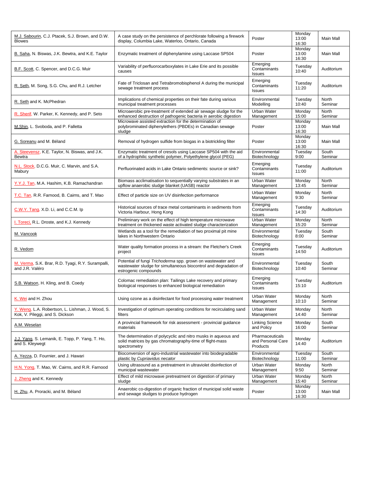| M.J. Sabourin, C.J. Ptacek, S.J. Brown, and D.W.<br><b>Blowes</b>                   | A case study on the persistence of perchlorate following a firework<br>display, Columbia Lake, Waterloo, Ontario, Canada                                | Poster                                           | Monday<br>13:00<br>16:30 | Main Mall        |
|-------------------------------------------------------------------------------------|---------------------------------------------------------------------------------------------------------------------------------------------------------|--------------------------------------------------|--------------------------|------------------|
| B. Saha, N. Biswas, J.K. Bewtra, and K.E. Taylor                                    | Enzymatic treatment of diphenylamine using Laccase SP504                                                                                                | Poster                                           | Monday<br>13:00<br>16:30 | Main Mall        |
| B.F. Scott, C. Spencer, and D.C.G. Muir                                             | Variability of perfluorocarboxylates in Lake Erie and its possible<br>causes                                                                            | Emerging<br>Contaminants<br><b>Issues</b>        | Tuesday<br>10:40         | Auditorium       |
| R. Seth, M. Song, S.G. Chu, and R.J. Letcher                                        | Fate of Triclosan and Tetrabromobisphenol A during the municipal<br>sewage treatment process                                                            | Emerging<br>Contaminants<br>Issues               | Tuesday<br>11:20         | Auditorium       |
| R. Seth and K. McPhedran                                                            | Implications of chemical properties on their fate during various<br>municipal treatment processes                                                       | Environmental<br>Modelling                       | Tuesday<br>10:40         | North<br>Seminar |
| R. Sherif, W. Parker, K. Kennedy, and P. Seto                                       | Microaerobic pre-treatment of extended air sewage sludge for the<br>enhanced destruction of pathogenic bacteria in aerobic digestion                    | Urban Water<br>Management                        | Monday<br>15:00          | North<br>Seminar |
| M.Shin, L. Svoboda, and P. Falletta                                                 | Microwave assisted extraction for the determination of<br>polybrominated diphenylethers (PBDEs) in Canadian sewage<br>sludge                            | Poster                                           | Monday<br>13:00<br>16:30 | Main Mall        |
| G. Soreanu and M. Béland                                                            | Removal of hydrogen sulfide from biogas in a biotrickling filter                                                                                        | Poster                                           | Monday<br>13:00<br>16:30 | Main Mall        |
| A. Steevensz, K.E. Taylor, N. Biswas, and J.K.<br>Bewtra                            | Enzymatic treatment of cresols using Laccase SP504 with the aid<br>of a hydrophilic synthetic polymer, Polyethylene glycol (PEG)                        | Environmental<br>Biotechnology                   | Tuesday<br>9:00          | South<br>Seminar |
| N.L. Stock, D.C.G. Muir, C. Marvin, and S.A.<br>Mabury                              | Perfluorinated acids in Lake Ontario sediments: source or sink?                                                                                         | Emerging<br>Contaminants<br><b>Issues</b>        | Tuesday<br>11:00         | Auditorium       |
| Y.Y.J. Tan, M.A. Hashim, K.B. Ramachandran                                          | Biomass acclimatisation to sequentially varying substrates in an<br>upflow anaerobic sludge blanket (UASB) reactor                                      | <b>Urban Water</b><br>Management                 | Monday<br>13:45          | North<br>Seminar |
| T.C. Tan, R.R. Farnood, B. Cairns, and T. Mao                                       | Effect of particle size on UV disinfection performance                                                                                                  | Urban Water<br>Management                        | Monday<br>9:30           | North<br>Seminar |
| C.W.Y. Tang, X.D. Li, and C.C.M. Ip                                                 | Historical sources of trace metal contaminants in sediments from<br>Victoria Harbour, Hong Kong                                                         | Emerging<br>Contaminants<br><b>Issues</b>        | Tuesday<br>14:30         | Auditorium       |
| I. Toreci, R.L. Droste, and K.J. Kennedy                                            | Preliminary work on the effect of high temperature microwave<br>treatment on thickened waste activated sludge characterization                          | Urban Water<br>Management                        | Monday<br>15:20          | North<br>Seminar |
| M. Vancook                                                                          | Wetlands as a tool for the remediation of two proximal pit mine<br>lakes in Northwestern Ontario                                                        | Environmental<br>Biotechnology                   | Tuesday<br>8:00          | South<br>Seminar |
| R. Vedom                                                                            | Water quality formation process in a stream: the Fletcher's Creek<br>project                                                                            | Emerging<br>Contaminants<br><b>Issues</b>        | Tuesday<br>14:50         | Auditorium       |
| M. Verma, S.K. Brar, R.D. Tyagi, R.Y. Surampalli,<br>and J.R. Valéro                | Potential of fungi Trichoderma spp. grown on wastewater and<br>wastewater sludge for simultaneous biocontrol and degradation of<br>estrogenic compounds | Environmental<br>Biotechnology                   | Tuesday<br>10:40         | South<br>Seminar |
| S.B. Watson, H. Kling, and B. Coedy                                                 | Colomac remediation plan: Tailings Lake recovery and primary<br>biological responses to enhanced biological remediation                                 | Emerging<br>Contaminants<br>Issues               | Tuesday<br>15:10         | Auditorium       |
| K. Wei and H. Zhou                                                                  | Using ozone as a disinfectant for food processing water treatment                                                                                       | Urban Water<br>Management                        | Monday<br>10:10          | North<br>Seminar |
| Y. Weng, L.A. Robertson, L. Lishman, J. Wood, S.<br>Kok, V. Pileggi, and S. Dickson | Investigation of optimum operating conditions for recirculating sand<br>filters                                                                         | Urban Water<br>Management                        | Monday<br>14:40          | North<br>Seminar |
| A.M. Weselan                                                                        | A provincial framework for risk assessment - provincial guidance<br>materials                                                                           | <b>Linking Science</b><br>and Policy             | Monday<br>16:00          | South<br>Seminar |
| J.J. Yang, S. Lemanik, E. Topp, P. Yang, T. Ho,<br>and S. Kleywegt                  | The determination of polycyclic and nitro musks in aqueous and<br>solid matrices by gas chromatography-time of flight-mass<br>spectrometry              | Pharmaceuticals<br>and Personal Care<br>Products | Monday<br>14:40          | Auditorium       |
| A. Yezza, D. Fournier, and J. Hawari                                                | Bioconversion of agro-industrial wastewater into biodegradable<br>plastic by Cupriavidus necator                                                        | Environmental<br>Biotechnology                   | Tuesday<br>11:00         | South<br>Seminar |
| H.N. Yong, T. Mao, W. Cairns, and R.R. Farnood                                      | Using ultrasound as a pretreatment in ultraviolet disinfection of<br>municipal wastewater                                                               | Urban Water<br>Management                        | Monday<br>9:50           | North<br>Seminar |
| J. Zheng and K. Kennedy                                                             | Effect of mild microwave pretreatment on digestion of primary<br>sludge                                                                                 | Urban Water<br>Management                        | Monday<br>15:40          | North<br>Seminar |
| H. Zhu, A. Proracki, and M. Béland                                                  | Anaerobic co-digestion of organic fraction of municipal solid waste<br>and sewage sludges to produce hydrogen                                           | Poster                                           | Monday<br>13:00<br>16:30 | Main Mall        |